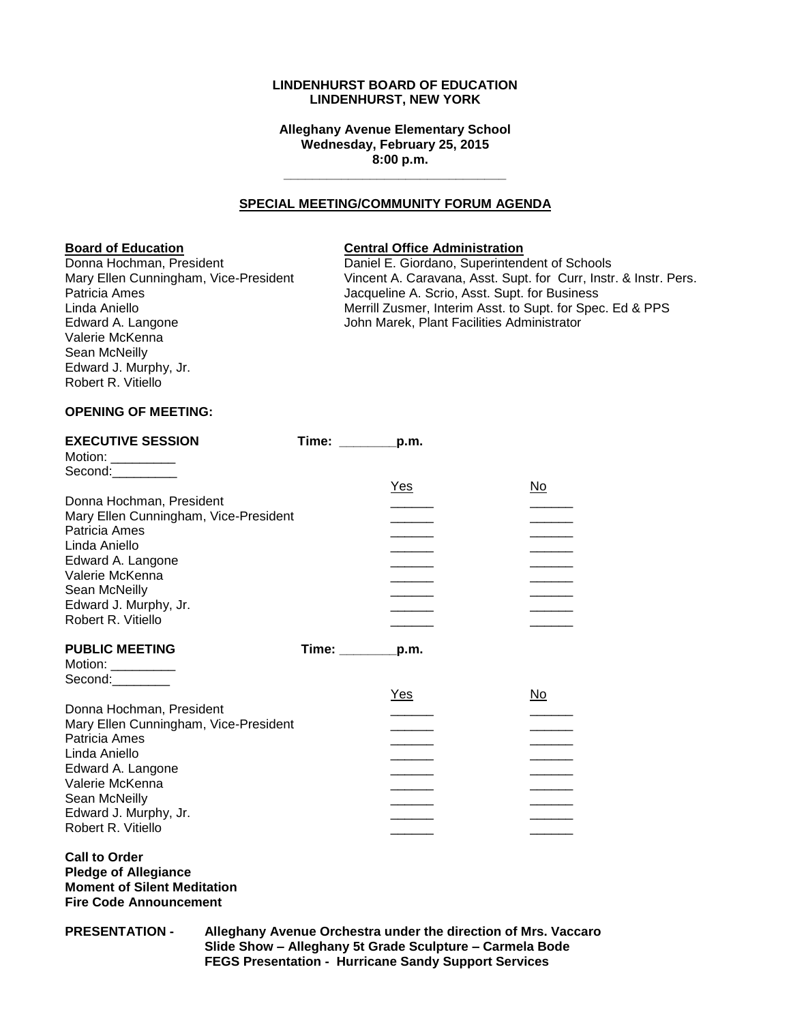## **LINDENHURST BOARD OF EDUCATION LINDENHURST, NEW YORK**

**Alleghany Avenue Elementary School Wednesday, February 25, 2015 8:00 p.m.**

**\_\_\_\_\_\_\_\_\_\_\_\_\_\_\_\_\_\_\_\_\_\_\_\_\_\_\_\_\_\_\_**

#### **SPECIAL MEETING/COMMUNITY FORUM AGENDA**

## **Board of Education Central Office Administration**

Valerie McKenna Sean McNeilly Edward J. Murphy, Jr. Robert R. Vitiello

Donna Hochman, President **Daniel E. Giordano, Superintendent of Schools**<br>Mary Ellen Cunningham, Vice-President Vincent A. Caravana, Asst. Supt. for Curr, Instr Vincent A. Caravana, Asst. Supt. for Curr, Instr. & Instr. Pers. Patricia Ames **The Contract Americia** Americia Americia Americia Americia Americia Americia Americia Americia Americia Americia Americia Americia Americia Americia Americia Americia Americia Americia Americia Americia Amer Linda Aniello<br>
Edward A. Langone **Merrill Zusmer, Interim Asst. to Supt. for Spec. Ed & PPS**<br>
John Marek, Plant Facilities Administrator John Marek, Plant Facilities Administrator

## **OPENING OF MEETING:**

| <b>EXECUTIVE SESSION</b>                                 | $Time:$ $p.m.$ |      |           |
|----------------------------------------------------------|----------------|------|-----------|
| Motion: $\frac{1}{1}$                                    |                |      |           |
| Second:__________                                        |                |      |           |
|                                                          |                | Yes  | No        |
| Donna Hochman, President                                 |                |      |           |
| Mary Ellen Cunningham, Vice-President                    |                |      |           |
| Patricia Ames                                            |                |      |           |
| Linda Aniello                                            |                |      |           |
| Edward A. Langone                                        |                |      |           |
| Valerie McKenna                                          |                |      |           |
| Sean McNeilly                                            |                |      |           |
| Edward J. Murphy, Jr.                                    |                |      |           |
| Robert R. Vitiello                                       |                |      |           |
|                                                          |                |      |           |
|                                                          |                |      |           |
| <b>PUBLIC MEETING</b>                                    |                | p.m. |           |
|                                                          | Time: _______  |      |           |
| Motion: $\frac{1}{\sqrt{1-\frac{1}{2}}\cdot\frac{1}{2}}$ |                |      |           |
| Second:                                                  |                |      |           |
|                                                          |                | Yes  | <u>No</u> |
| Donna Hochman, President                                 |                |      |           |
| Mary Ellen Cunningham, Vice-President                    |                |      |           |
| Patricia Ames                                            |                |      |           |
| Linda Aniello                                            |                |      |           |
| Edward A. Langone                                        |                |      |           |
| Valerie McKenna                                          |                |      |           |
| Sean McNeilly<br>Edward J. Murphy, Jr.                   |                |      |           |
|                                                          |                |      |           |

## **Call to Order Pledge of Allegiance Moment of Silent Meditation Fire Code Announcement**

**PRESENTATION - Alleghany Avenue Orchestra under the direction of Mrs. Vaccaro Slide Show – Alleghany 5t Grade Sculpture – Carmela Bode FEGS Presentation - Hurricane Sandy Support Services**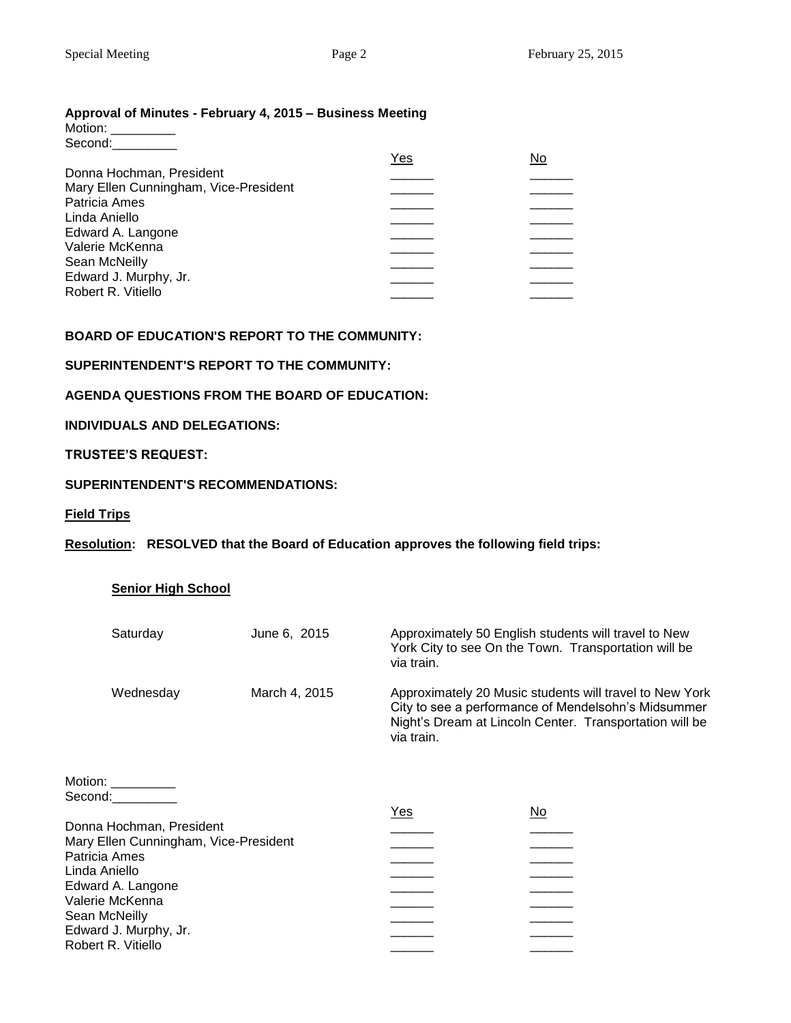# **Approval of Minutes - February 4, 2015 – Business Meeting**

| Motion: |  |
|---------|--|
| Second: |  |

|                                       | Yes | No |
|---------------------------------------|-----|----|
| Donna Hochman, President              |     |    |
| Mary Ellen Cunningham, Vice-President |     |    |
| Patricia Ames                         |     |    |
| Linda Aniello                         |     |    |
| Edward A. Langone                     |     |    |
| Valerie McKenna                       |     |    |
| Sean McNeilly                         |     |    |
| Edward J. Murphy, Jr.                 |     |    |
| Robert R. Vitiello                    |     |    |
|                                       |     |    |

# **BOARD OF EDUCATION'S REPORT TO THE COMMUNITY:**

# **SUPERINTENDENT'S REPORT TO THE COMMUNITY:**

# **AGENDA QUESTIONS FROM THE BOARD OF EDUCATION:**

# **INDIVIDUALS AND DELEGATIONS:**

# **TRUSTEE'S REQUEST:**

# **SUPERINTENDENT'S RECOMMENDATIONS:**

# **Field Trips**

# **Resolution: RESOLVED that the Board of Education approves the following field trips:**

# **Senior High School**

| Saturday  | June 6, 2015  | Approximately 50 English students will travel to New<br>York City to see On the Town. Transportation will be<br>via train.                                                              |
|-----------|---------------|-----------------------------------------------------------------------------------------------------------------------------------------------------------------------------------------|
| Wednesday | March 4, 2015 | Approximately 20 Music students will travel to New York<br>City to see a performance of Mendelsohn's Midsummer<br>Night's Dream at Lincoln Center. Transportation will be<br>via train. |

## Motion: \_\_\_\_\_\_\_\_\_ Second:\_\_\_\_\_\_\_\_\_\_

|                                       | Yes | No |
|---------------------------------------|-----|----|
| Donna Hochman, President              |     |    |
| Mary Ellen Cunningham, Vice-President |     |    |
| Patricia Ames                         |     |    |
| Linda Aniello                         |     |    |
| Edward A. Langone                     |     |    |
| Valerie McKenna                       |     |    |
| Sean McNeilly                         |     |    |
| Edward J. Murphy, Jr.                 |     |    |
| Robert R. Vitiello                    |     |    |
|                                       |     |    |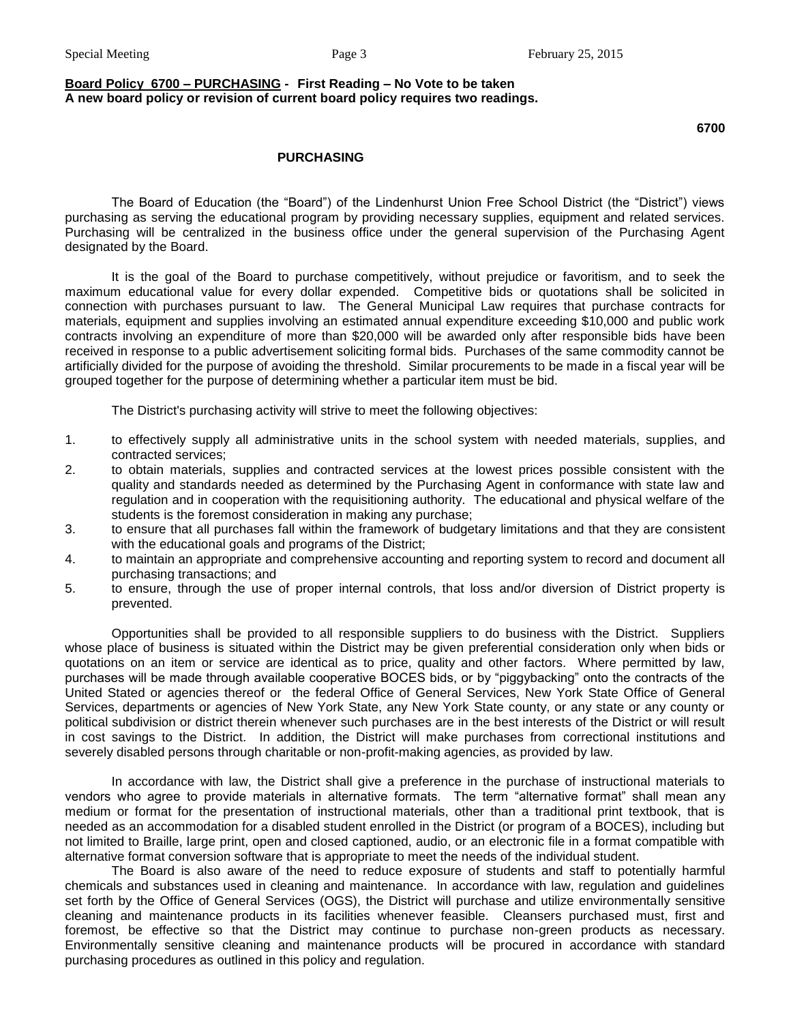## **Board Policy 6700 – PURCHASING - First Reading – No Vote to be taken A new board policy or revision of current board policy requires two readings.**

## **6700**

#### **PURCHASING**

The Board of Education (the "Board") of the Lindenhurst Union Free School District (the "District") views purchasing as serving the educational program by providing necessary supplies, equipment and related services. Purchasing will be centralized in the business office under the general supervision of the Purchasing Agent designated by the Board.

It is the goal of the Board to purchase competitively, without prejudice or favoritism, and to seek the maximum educational value for every dollar expended. Competitive bids or quotations shall be solicited in connection with purchases pursuant to law. The General Municipal Law requires that purchase contracts for materials, equipment and supplies involving an estimated annual expenditure exceeding \$10,000 and public work contracts involving an expenditure of more than \$20,000 will be awarded only after responsible bids have been received in response to a public advertisement soliciting formal bids. Purchases of the same commodity cannot be artificially divided for the purpose of avoiding the threshold. Similar procurements to be made in a fiscal year will be grouped together for the purpose of determining whether a particular item must be bid.

The District's purchasing activity will strive to meet the following objectives:

- 1. to effectively supply all administrative units in the school system with needed materials, supplies, and contracted services;
- 2. to obtain materials, supplies and contracted services at the lowest prices possible consistent with the quality and standards needed as determined by the Purchasing Agent in conformance with state law and regulation and in cooperation with the requisitioning authority. The educational and physical welfare of the students is the foremost consideration in making any purchase;
- 3. to ensure that all purchases fall within the framework of budgetary limitations and that they are consistent with the educational goals and programs of the District;
- 4. to maintain an appropriate and comprehensive accounting and reporting system to record and document all purchasing transactions; and
- 5. to ensure, through the use of proper internal controls, that loss and/or diversion of District property is prevented.

Opportunities shall be provided to all responsible suppliers to do business with the District. Suppliers whose place of business is situated within the District may be given preferential consideration only when bids or quotations on an item or service are identical as to price, quality and other factors. Where permitted by law, purchases will be made through available cooperative BOCES bids, or by "piggybacking" onto the contracts of the United Stated or agencies thereof or the federal Office of General Services, New York State Office of General Services, departments or agencies of New York State, any New York State county, or any state or any county or political subdivision or district therein whenever such purchases are in the best interests of the District or will result in cost savings to the District. In addition, the District will make purchases from correctional institutions and severely disabled persons through charitable or non-profit-making agencies, as provided by law.

In accordance with law, the District shall give a preference in the purchase of instructional materials to vendors who agree to provide materials in alternative formats. The term "alternative format" shall mean any medium or format for the presentation of instructional materials, other than a traditional print textbook, that is needed as an accommodation for a disabled student enrolled in the District (or program of a BOCES), including but not limited to Braille, large print, open and closed captioned, audio, or an electronic file in a format compatible with alternative format conversion software that is appropriate to meet the needs of the individual student.

The Board is also aware of the need to reduce exposure of students and staff to potentially harmful chemicals and substances used in cleaning and maintenance. In accordance with law, regulation and guidelines set forth by the Office of General Services (OGS), the District will purchase and utilize environmentally sensitive cleaning and maintenance products in its facilities whenever feasible. Cleansers purchased must, first and foremost, be effective so that the District may continue to purchase non-green products as necessary. Environmentally sensitive cleaning and maintenance products will be procured in accordance with standard purchasing procedures as outlined in this policy and regulation.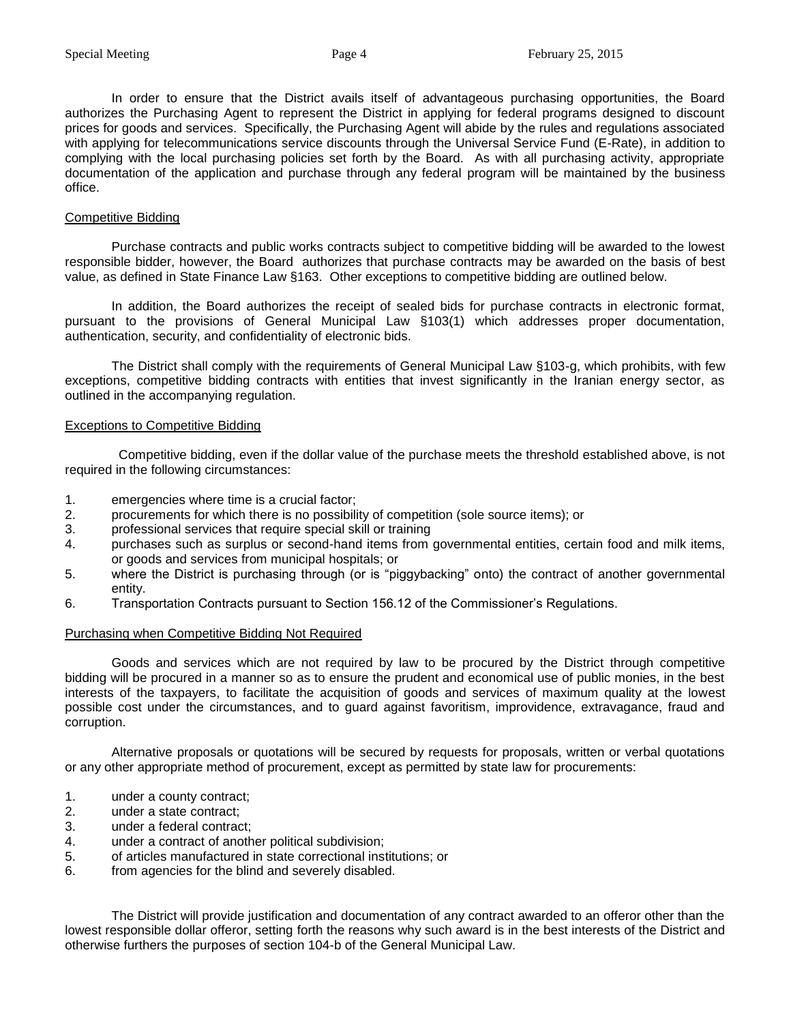In order to ensure that the District avails itself of advantageous purchasing opportunities, the Board authorizes the Purchasing Agent to represent the District in applying for federal programs designed to discount prices for goods and services. Specifically, the Purchasing Agent will abide by the rules and regulations associated with applying for telecommunications service discounts through the Universal Service Fund (E-Rate), in addition to complying with the local purchasing policies set forth by the Board. As with all purchasing activity, appropriate documentation of the application and purchase through any federal program will be maintained by the business office.

## Competitive Bidding

Purchase contracts and public works contracts subject to competitive bidding will be awarded to the lowest responsible bidder, however, the Board authorizes that purchase contracts may be awarded on the basis of best value, as defined in State Finance Law §163. Other exceptions to competitive bidding are outlined below.

In addition, the Board authorizes the receipt of sealed bids for purchase contracts in electronic format, pursuant to the provisions of General Municipal Law §103(1) which addresses proper documentation, authentication, security, and confidentiality of electronic bids.

The District shall comply with the requirements of General Municipal Law §103-g, which prohibits, with few exceptions, competitive bidding contracts with entities that invest significantly in the Iranian energy sector, as outlined in the accompanying regulation.

## Exceptions to Competitive Bidding

 Competitive bidding, even if the dollar value of the purchase meets the threshold established above, is not required in the following circumstances:

- 1. emergencies where time is a crucial factor;
- 2. procurements for which there is no possibility of competition (sole source items); or
- 3. professional services that require special skill or training
- 4. purchases such as surplus or second-hand items from governmental entities, certain food and milk items, or goods and services from municipal hospitals; or
- 5. where the District is purchasing through (or is "piggybacking" onto) the contract of another governmental entity.
- 6. Transportation Contracts pursuant to Section 156.12 of the Commissioner's Regulations.

# Purchasing when Competitive Bidding Not Required

Goods and services which are not required by law to be procured by the District through competitive bidding will be procured in a manner so as to ensure the prudent and economical use of public monies, in the best interests of the taxpayers, to facilitate the acquisition of goods and services of maximum quality at the lowest possible cost under the circumstances, and to guard against favoritism, improvidence, extravagance, fraud and corruption.

Alternative proposals or quotations will be secured by requests for proposals, written or verbal quotations or any other appropriate method of procurement, except as permitted by state law for procurements:

- 1. under a county contract;
- 2. under a state contract;
- 3. under a federal contract;
- 4. under a contract of another political subdivision;
- 5. of articles manufactured in state correctional institutions; or
- 6. from agencies for the blind and severely disabled.

The District will provide justification and documentation of any contract awarded to an offeror other than the lowest responsible dollar offeror, setting forth the reasons why such award is in the best interests of the District and otherwise furthers the purposes of section 104-b of the General Municipal Law.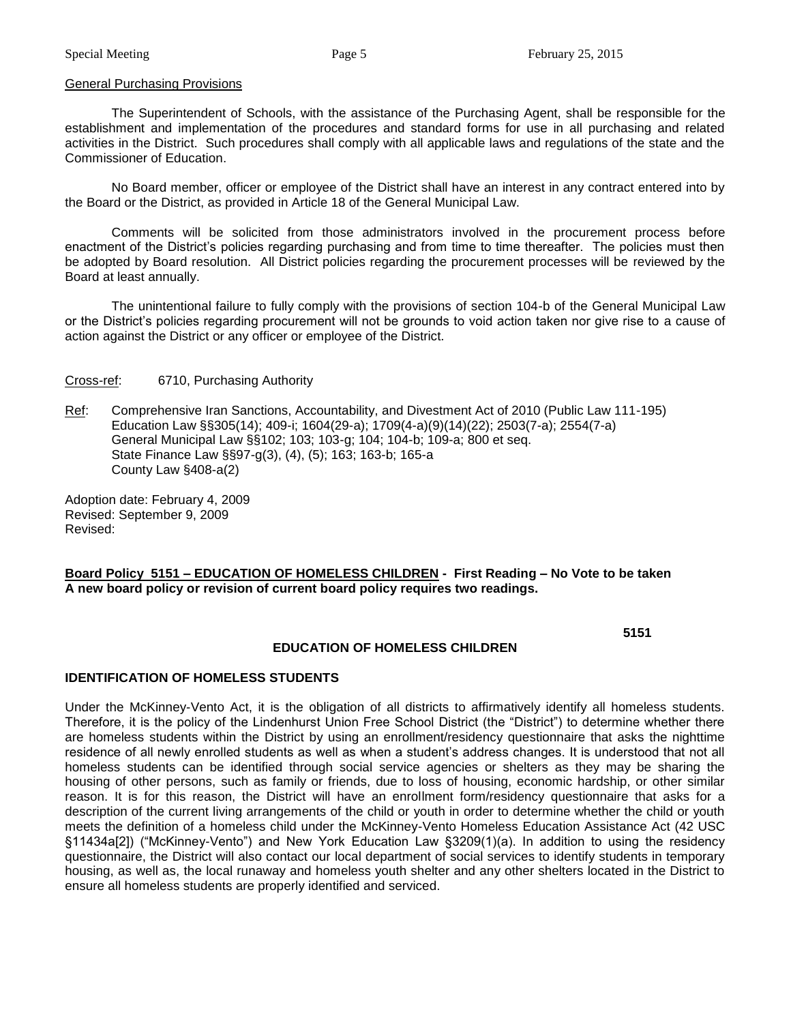#### General Purchasing Provisions

The Superintendent of Schools, with the assistance of the Purchasing Agent, shall be responsible for the establishment and implementation of the procedures and standard forms for use in all purchasing and related activities in the District. Such procedures shall comply with all applicable laws and regulations of the state and the Commissioner of Education.

No Board member, officer or employee of the District shall have an interest in any contract entered into by the Board or the District, as provided in Article 18 of the General Municipal Law.

Comments will be solicited from those administrators involved in the procurement process before enactment of the District's policies regarding purchasing and from time to time thereafter. The policies must then be adopted by Board resolution. All District policies regarding the procurement processes will be reviewed by the Board at least annually.

The unintentional failure to fully comply with the provisions of section 104-b of the General Municipal Law or the District's policies regarding procurement will not be grounds to void action taken nor give rise to a cause of action against the District or any officer or employee of the District.

## Cross-ref: 6710, Purchasing Authority

Ref: Comprehensive Iran Sanctions, Accountability, and Divestment Act of 2010 (Public Law 111-195) Education Law §§305(14); 409-i; 1604(29-a); 1709(4-a)(9)(14)(22); 2503(7-a); 2554(7-a) General Municipal Law §§102; 103; 103-g; 104; 104-b; 109-a; 800 et seq. State Finance Law §§97-g(3), (4), (5); 163; 163-b; 165-a County Law §408-a(2)

Adoption date: February 4, 2009 Revised: September 9, 2009 Revised:

## **Board Policy 5151 – EDUCATION OF HOMELESS CHILDREN - First Reading – No Vote to be taken A new board policy or revision of current board policy requires two readings.**

**5151**

## **EDUCATION OF HOMELESS CHILDREN**

## **IDENTIFICATION OF HOMELESS STUDENTS**

Under the McKinney-Vento Act, it is the obligation of all districts to affirmatively identify all homeless students. Therefore, it is the policy of the Lindenhurst Union Free School District (the "District") to determine whether there are homeless students within the District by using an enrollment/residency questionnaire that asks the nighttime residence of all newly enrolled students as well as when a student's address changes. It is understood that not all homeless students can be identified through social service agencies or shelters as they may be sharing the housing of other persons, such as family or friends, due to loss of housing, economic hardship, or other similar reason. It is for this reason, the District will have an enrollment form/residency questionnaire that asks for a description of the current living arrangements of the child or youth in order to determine whether the child or youth meets the definition of a homeless child under the McKinney-Vento Homeless Education Assistance Act (42 USC §11434a[2]) ("McKinney-Vento") and New York Education Law §3209(1)(a). In addition to using the residency questionnaire, the District will also contact our local department of social services to identify students in temporary housing, as well as, the local runaway and homeless youth shelter and any other shelters located in the District to ensure all homeless students are properly identified and serviced.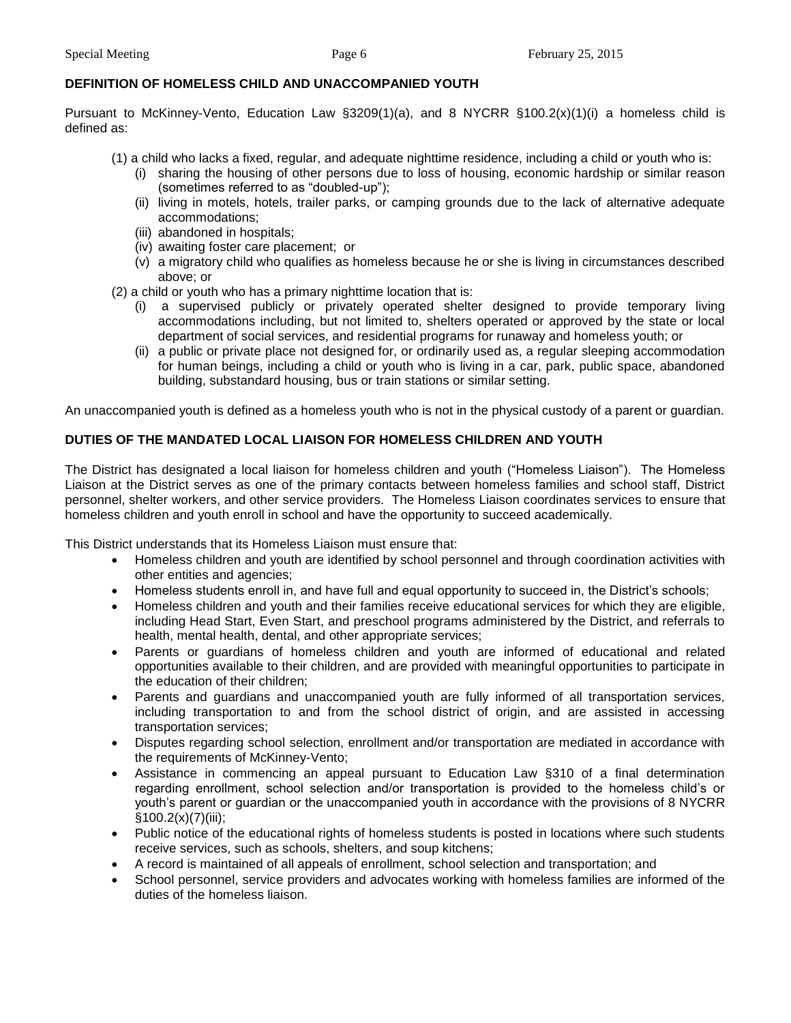## **DEFINITION OF HOMELESS CHILD AND UNACCOMPANIED YOUTH**

Pursuant to McKinney-Vento, Education Law §3209(1)(a), and 8 NYCRR §100.2(x)(1)(i) a homeless child is defined as:

- (1) a child who lacks a fixed, regular, and adequate nighttime residence, including a child or youth who is:
	- (i) sharing the housing of other persons due to loss of housing, economic hardship or similar reason (sometimes referred to as "doubled-up");
	- (ii) living in motels, hotels, trailer parks, or camping grounds due to the lack of alternative adequate accommodations;
	- (iii) abandoned in hospitals;
	- (iv) awaiting foster care placement; or
	- (v) a migratory child who qualifies as homeless because he or she is living in circumstances described above; or
- (2) a child or youth who has a primary nighttime location that is:
	- (i) a supervised publicly or privately operated shelter designed to provide temporary living accommodations including, but not limited to, shelters operated or approved by the state or local department of social services, and residential programs for runaway and homeless youth; or
	- (ii) a public or private place not designed for, or ordinarily used as, a regular sleeping accommodation for human beings, including a child or youth who is living in a car, park, public space, abandoned building, substandard housing, bus or train stations or similar setting.

An unaccompanied youth is defined as a homeless youth who is not in the physical custody of a parent or guardian.

## **DUTIES OF THE MANDATED LOCAL LIAISON FOR HOMELESS CHILDREN AND YOUTH**

The District has designated a local liaison for homeless children and youth ("Homeless Liaison"). The Homeless Liaison at the District serves as one of the primary contacts between homeless families and school staff, District personnel, shelter workers, and other service providers. The Homeless Liaison coordinates services to ensure that homeless children and youth enroll in school and have the opportunity to succeed academically.

This District understands that its Homeless Liaison must ensure that:

- Homeless children and youth are identified by school personnel and through coordination activities with other entities and agencies;
- Homeless students enroll in, and have full and equal opportunity to succeed in, the District's schools;
- Homeless children and youth and their families receive educational services for which they are eligible, including Head Start, Even Start, and preschool programs administered by the District, and referrals to health, mental health, dental, and other appropriate services;
- Parents or guardians of homeless children and youth are informed of educational and related opportunities available to their children, and are provided with meaningful opportunities to participate in the education of their children;
- Parents and guardians and unaccompanied youth are fully informed of all transportation services, including transportation to and from the school district of origin, and are assisted in accessing transportation services;
- Disputes regarding school selection, enrollment and/or transportation are mediated in accordance with the requirements of McKinney-Vento;
- Assistance in commencing an appeal pursuant to Education Law §310 of a final determination regarding enrollment, school selection and/or transportation is provided to the homeless child's or youth's parent or guardian or the unaccompanied youth in accordance with the provisions of 8 NYCRR  $§100.2(x)(7)(iii);$
- Public notice of the educational rights of homeless students is posted in locations where such students receive services, such as schools, shelters, and soup kitchens;
- A record is maintained of all appeals of enrollment, school selection and transportation; and
- School personnel, service providers and advocates working with homeless families are informed of the duties of the homeless liaison.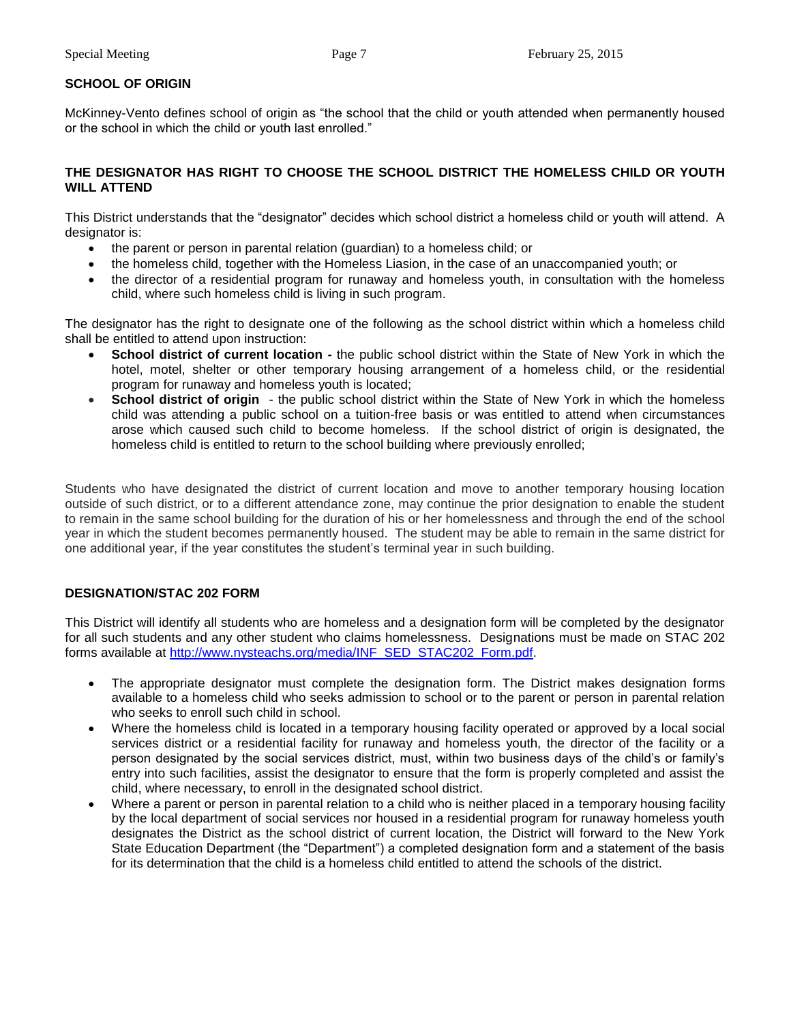# **SCHOOL OF ORIGIN**

McKinney-Vento defines school of origin as "the school that the child or youth attended when permanently housed or the school in which the child or youth last enrolled."

## **THE DESIGNATOR HAS RIGHT TO CHOOSE THE SCHOOL DISTRICT THE HOMELESS CHILD OR YOUTH WILL ATTEND**

This District understands that the "designator" decides which school district a homeless child or youth will attend. A designator is:

- the parent or person in parental relation (guardian) to a homeless child; or
- the homeless child, together with the Homeless Liasion, in the case of an unaccompanied youth; or
- the director of a residential program for runaway and homeless youth, in consultation with the homeless child, where such homeless child is living in such program.

The designator has the right to designate one of the following as the school district within which a homeless child shall be entitled to attend upon instruction:

- **School district of current location -** the public school district within the State of New York in which the hotel, motel, shelter or other temporary housing arrangement of a homeless child, or the residential program for runaway and homeless youth is located;
- **School district of origin** the public school district within the State of New York in which the homeless child was attending a public school on a tuition-free basis or was entitled to attend when circumstances arose which caused such child to become homeless. If the school district of origin is designated, the homeless child is entitled to return to the school building where previously enrolled;

Students who have designated the district of current location and move to another temporary housing location outside of such district, or to a different attendance zone, may continue the prior designation to enable the student to remain in the same school building for the duration of his or her homelessness and through the end of the school year in which the student becomes permanently housed. The student may be able to remain in the same district for one additional year, if the year constitutes the student's terminal year in such building.

# **DESIGNATION/STAC 202 FORM**

This District will identify all students who are homeless and a designation form will be completed by the designator for all such students and any other student who claims homelessness. Designations must be made on STAC 202 forms available at [http://www.nysteachs.org/media/INF\\_SED\\_STAC202\\_Form.pdf.](http://www.nysteachs.org/media/INF_SED_STAC202_Form.pdf)

- The appropriate designator must complete the designation form. The District makes designation forms available to a homeless child who seeks admission to school or to the parent or person in parental relation who seeks to enroll such child in school.
- Where the homeless child is located in a temporary housing facility operated or approved by a local social services district or a residential facility for runaway and homeless youth, the director of the facility or a person designated by the social services district, must, within two business days of the child's or family's entry into such facilities, assist the designator to ensure that the form is properly completed and assist the child, where necessary, to enroll in the designated school district.
- Where a parent or person in parental relation to a child who is neither placed in a temporary housing facility by the local department of social services nor housed in a residential program for runaway homeless youth designates the District as the school district of current location, the District will forward to the New York State Education Department (the "Department") a completed designation form and a statement of the basis for its determination that the child is a homeless child entitled to attend the schools of the district.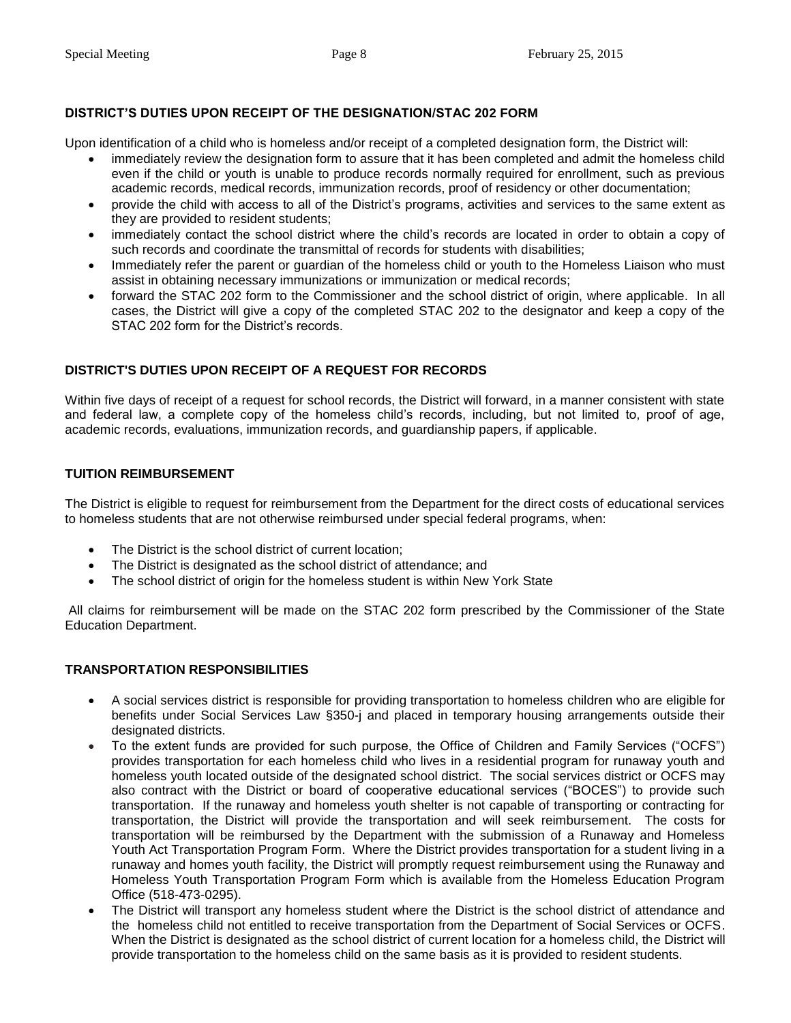# **DISTRICT'S DUTIES UPON RECEIPT OF THE DESIGNATION/STAC 202 FORM**

Upon identification of a child who is homeless and/or receipt of a completed designation form, the District will:

- immediately review the designation form to assure that it has been completed and admit the homeless child even if the child or youth is unable to produce records normally required for enrollment, such as previous academic records, medical records, immunization records, proof of residency or other documentation;
- provide the child with access to all of the District's programs, activities and services to the same extent as they are provided to resident students;
- immediately contact the school district where the child's records are located in order to obtain a copy of such records and coordinate the transmittal of records for students with disabilities;
- Immediately refer the parent or guardian of the homeless child or youth to the Homeless Liaison who must assist in obtaining necessary immunizations or immunization or medical records;
- forward the STAC 202 form to the Commissioner and the school district of origin, where applicable. In all cases, the District will give a copy of the completed STAC 202 to the designator and keep a copy of the STAC 202 form for the District's records.

# **DISTRICT'S DUTIES UPON RECEIPT OF A REQUEST FOR RECORDS**

Within five days of receipt of a request for school records, the District will forward, in a manner consistent with state and federal law, a complete copy of the homeless child's records, including, but not limited to, proof of age, academic records, evaluations, immunization records, and guardianship papers, if applicable.

# **TUITION REIMBURSEMENT**

The District is eligible to request for reimbursement from the Department for the direct costs of educational services to homeless students that are not otherwise reimbursed under special federal programs, when:

- The District is the school district of current location:
- The District is designated as the school district of attendance; and
- The school district of origin for the homeless student is within New York State

All claims for reimbursement will be made on the STAC 202 form prescribed by the Commissioner of the State Education Department.

# **TRANSPORTATION RESPONSIBILITIES**

- A social services district is responsible for providing transportation to homeless children who are eligible for benefits under Social Services Law §350-j and placed in temporary housing arrangements outside their designated districts.
- To the extent funds are provided for such purpose, the Office of Children and Family Services ("OCFS") provides transportation for each homeless child who lives in a residential program for runaway youth and homeless youth located outside of the designated school district. The social services district or OCFS may also contract with the District or board of cooperative educational services ("BOCES") to provide such transportation. If the runaway and homeless youth shelter is not capable of transporting or contracting for transportation, the District will provide the transportation and will seek reimbursement. The costs for transportation will be reimbursed by the Department with the submission of a Runaway and Homeless Youth Act Transportation Program Form. Where the District provides transportation for a student living in a runaway and homes youth facility, the District will promptly request reimbursement using the Runaway and Homeless Youth Transportation Program Form which is available from the Homeless Education Program Office (518-473-0295).
- The District will transport any homeless student where the District is the school district of attendance and the homeless child not entitled to receive transportation from the Department of Social Services or OCFS. When the District is designated as the school district of current location for a homeless child, the District will provide transportation to the homeless child on the same basis as it is provided to resident students.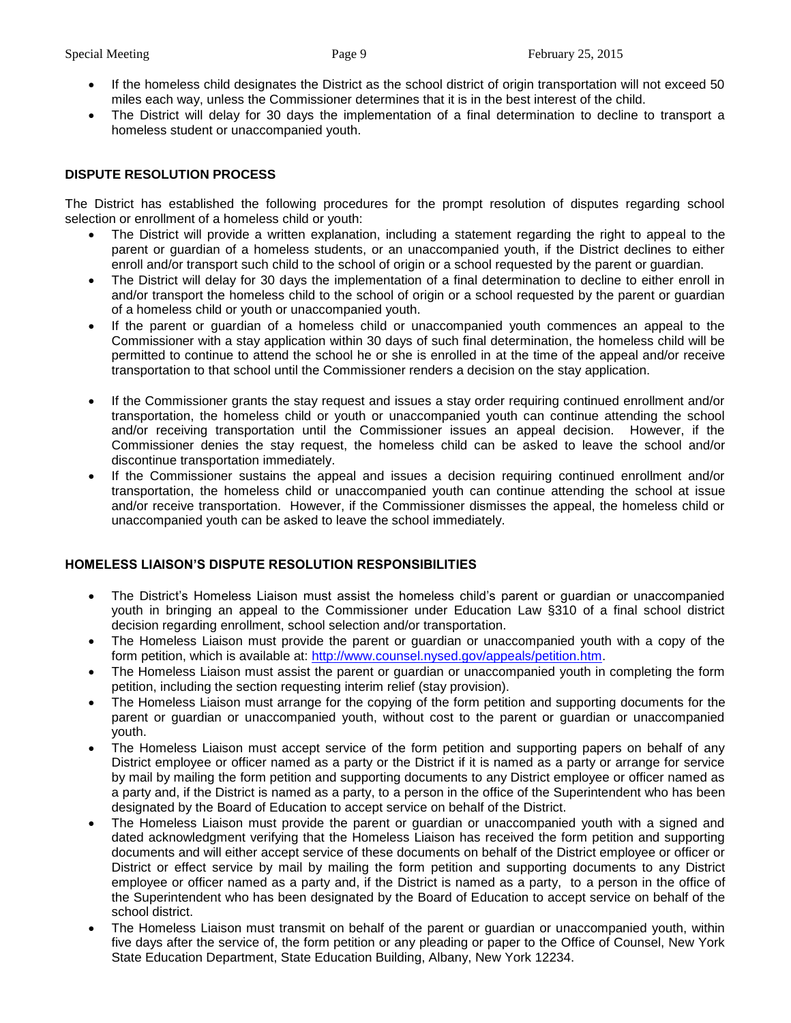- If the homeless child designates the District as the school district of origin transportation will not exceed 50 miles each way, unless the Commissioner determines that it is in the best interest of the child.
- The District will delay for 30 days the implementation of a final determination to decline to transport a homeless student or unaccompanied youth.

# **DISPUTE RESOLUTION PROCESS**

The District has established the following procedures for the prompt resolution of disputes regarding school selection or enrollment of a homeless child or youth:

- The District will provide a written explanation, including a statement regarding the right to appeal to the parent or guardian of a homeless students, or an unaccompanied youth, if the District declines to either enroll and/or transport such child to the school of origin or a school requested by the parent or guardian.
- The District will delay for 30 days the implementation of a final determination to decline to either enroll in and/or transport the homeless child to the school of origin or a school requested by the parent or guardian of a homeless child or youth or unaccompanied youth.
- If the parent or guardian of a homeless child or unaccompanied youth commences an appeal to the Commissioner with a stay application within 30 days of such final determination, the homeless child will be permitted to continue to attend the school he or she is enrolled in at the time of the appeal and/or receive transportation to that school until the Commissioner renders a decision on the stay application.
- If the Commissioner grants the stay request and issues a stay order requiring continued enrollment and/or transportation, the homeless child or youth or unaccompanied youth can continue attending the school and/or receiving transportation until the Commissioner issues an appeal decision. However, if the Commissioner denies the stay request, the homeless child can be asked to leave the school and/or discontinue transportation immediately.
- If the Commissioner sustains the appeal and issues a decision requiring continued enrollment and/or transportation, the homeless child or unaccompanied youth can continue attending the school at issue and/or receive transportation. However, if the Commissioner dismisses the appeal, the homeless child or unaccompanied youth can be asked to leave the school immediately.

# **HOMELESS LIAISON'S DISPUTE RESOLUTION RESPONSIBILITIES**

- The District's Homeless Liaison must assist the homeless child's parent or guardian or unaccompanied youth in bringing an appeal to the Commissioner under Education Law §310 of a final school district decision regarding enrollment, school selection and/or transportation.
- The Homeless Liaison must provide the parent or guardian or unaccompanied youth with a copy of the form petition, which is available at: [http://www.counsel.nysed.gov/appeals/petition.htm.](http://www.counsel.nysed.gov/appeals/petition.htm)
- The Homeless Liaison must assist the parent or guardian or unaccompanied youth in completing the form petition, including the section requesting interim relief (stay provision).
- The Homeless Liaison must arrange for the copying of the form petition and supporting documents for the parent or guardian or unaccompanied youth, without cost to the parent or guardian or unaccompanied youth.
- The Homeless Liaison must accept service of the form petition and supporting papers on behalf of any District employee or officer named as a party or the District if it is named as a party or arrange for service by mail by mailing the form petition and supporting documents to any District employee or officer named as a party and, if the District is named as a party, to a person in the office of the Superintendent who has been designated by the Board of Education to accept service on behalf of the District.
- The Homeless Liaison must provide the parent or guardian or unaccompanied youth with a signed and dated acknowledgment verifying that the Homeless Liaison has received the form petition and supporting documents and will either accept service of these documents on behalf of the District employee or officer or District or effect service by mail by mailing the form petition and supporting documents to any District employee or officer named as a party and, if the District is named as a party, to a person in the office of the Superintendent who has been designated by the Board of Education to accept service on behalf of the school district.
- The Homeless Liaison must transmit on behalf of the parent or guardian or unaccompanied youth, within five days after the service of, the form petition or any pleading or paper to the Office of Counsel, New York State Education Department, State Education Building, Albany, New York 12234.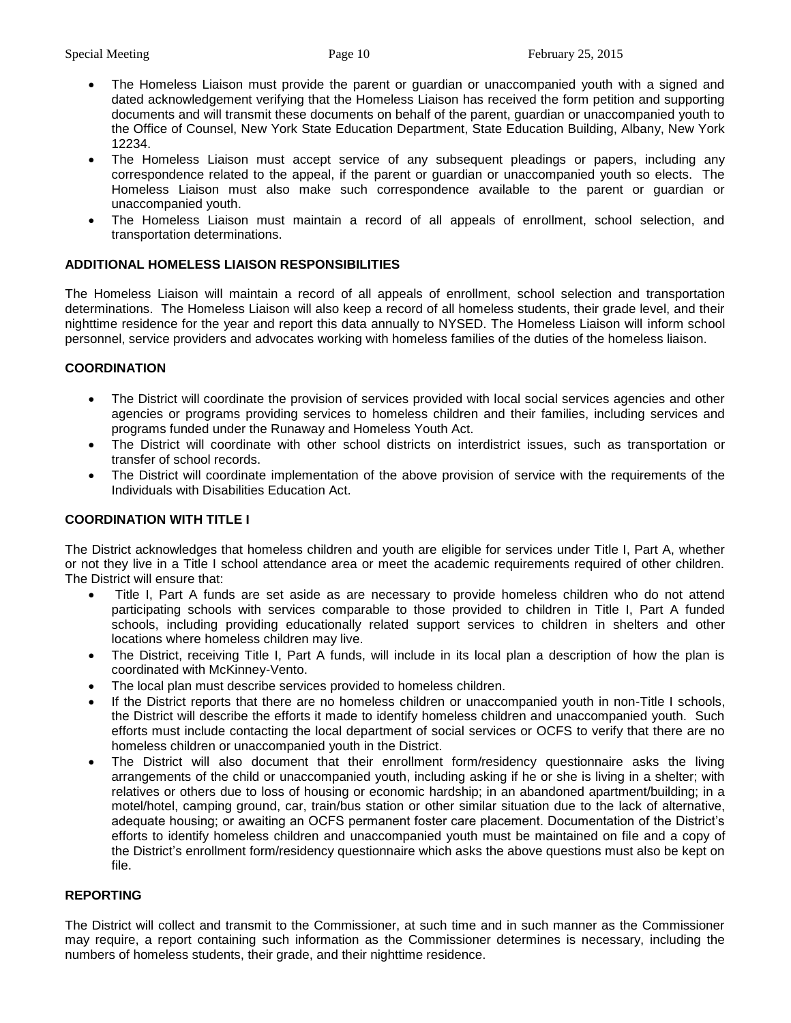- The Homeless Liaison must provide the parent or guardian or unaccompanied youth with a signed and dated acknowledgement verifying that the Homeless Liaison has received the form petition and supporting documents and will transmit these documents on behalf of the parent, guardian or unaccompanied youth to the Office of Counsel, New York State Education Department, State Education Building, Albany, New York 12234.
- The Homeless Liaison must accept service of any subsequent pleadings or papers, including any correspondence related to the appeal, if the parent or guardian or unaccompanied youth so elects. The Homeless Liaison must also make such correspondence available to the parent or guardian or unaccompanied youth.
- The Homeless Liaison must maintain a record of all appeals of enrollment, school selection, and transportation determinations.

# **ADDITIONAL HOMELESS LIAISON RESPONSIBILITIES**

The Homeless Liaison will maintain a record of all appeals of enrollment, school selection and transportation determinations. The Homeless Liaison will also keep a record of all homeless students, their grade level, and their nighttime residence for the year and report this data annually to NYSED. The Homeless Liaison will inform school personnel, service providers and advocates working with homeless families of the duties of the homeless liaison.

# **COORDINATION**

- The District will coordinate the provision of services provided with local social services agencies and other agencies or programs providing services to homeless children and their families, including services and programs funded under the Runaway and Homeless Youth Act.
- The District will coordinate with other school districts on interdistrict issues, such as transportation or transfer of school records.
- The District will coordinate implementation of the above provision of service with the requirements of the Individuals with Disabilities Education Act.

# **COORDINATION WITH TITLE I**

The District acknowledges that homeless children and youth are eligible for services under Title I, Part A, whether or not they live in a Title I school attendance area or meet the academic requirements required of other children. The District will ensure that:

- Title I, Part A funds are set aside as are necessary to provide homeless children who do not attend participating schools with services comparable to those provided to children in Title I, Part A funded schools, including providing educationally related support services to children in shelters and other locations where homeless children may live.
- The District, receiving Title I, Part A funds, will include in its local plan a description of how the plan is coordinated with McKinney-Vento.
- The local plan must describe services provided to homeless children.
- If the District reports that there are no homeless children or unaccompanied youth in non-Title I schools, the District will describe the efforts it made to identify homeless children and unaccompanied youth. Such efforts must include contacting the local department of social services or OCFS to verify that there are no homeless children or unaccompanied youth in the District.
- The District will also document that their enrollment form/residency questionnaire asks the living arrangements of the child or unaccompanied youth, including asking if he or she is living in a shelter; with relatives or others due to loss of housing or economic hardship; in an abandoned apartment/building; in a motel/hotel, camping ground, car, train/bus station or other similar situation due to the lack of alternative, adequate housing; or awaiting an OCFS permanent foster care placement. Documentation of the District's efforts to identify homeless children and unaccompanied youth must be maintained on file and a copy of the District's enrollment form/residency questionnaire which asks the above questions must also be kept on file.

# **REPORTING**

The District will collect and transmit to the Commissioner, at such time and in such manner as the Commissioner may require, a report containing such information as the Commissioner determines is necessary, including the numbers of homeless students, their grade, and their nighttime residence.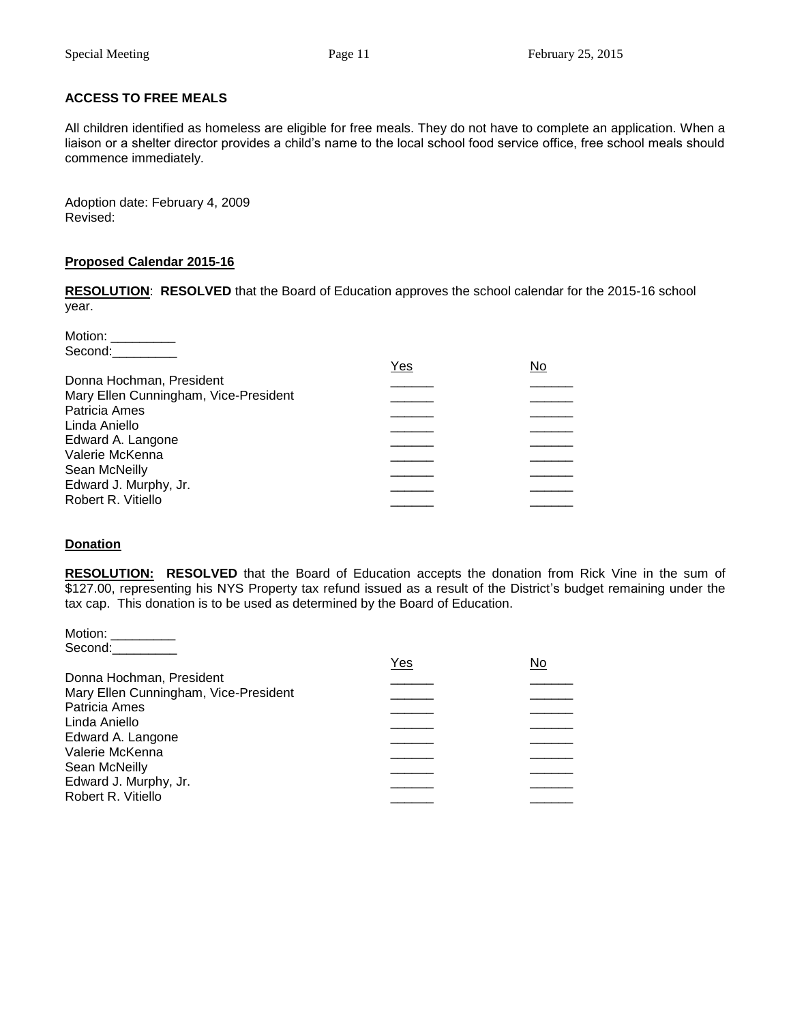# **ACCESS TO FREE MEALS**

All children identified as homeless are eligible for free meals. They do not have to complete an application. When a liaison or a shelter director provides a child's name to the local school food service office, free school meals should commence immediately.

Adoption date: February 4, 2009 Revised:

## **Proposed Calendar 2015-16**

**RESOLUTION**: **RESOLVED** that the Board of Education approves the school calendar for the 2015-16 school year.

Motion: Second:

| Yes | No |
|-----|----|
|     |    |
|     |    |
|     |    |
|     |    |
|     |    |
|     |    |
|     |    |
|     |    |
|     |    |
|     |    |

# **Donation**

**RESOLUTION: RESOLVED** that the Board of Education accepts the donation from Rick Vine in the sum of \$127.00, representing his NYS Property tax refund issued as a result of the District's budget remaining under the tax cap. This donation is to be used as determined by the Board of Education.

| Motion:                               |     |     |
|---------------------------------------|-----|-----|
| Second:                               |     |     |
|                                       | Yes | No. |
| Donna Hochman, President              |     |     |
| Mary Ellen Cunningham, Vice-President |     |     |
| Patricia Ames                         |     |     |
| Linda Aniello                         |     |     |
| Edward A. Langone                     |     |     |
| Valerie McKenna                       |     |     |
|                                       |     |     |
| Sean McNeilly                         |     |     |
| Edward J. Murphy, Jr.                 |     |     |
| Robert R. Vitiello                    |     |     |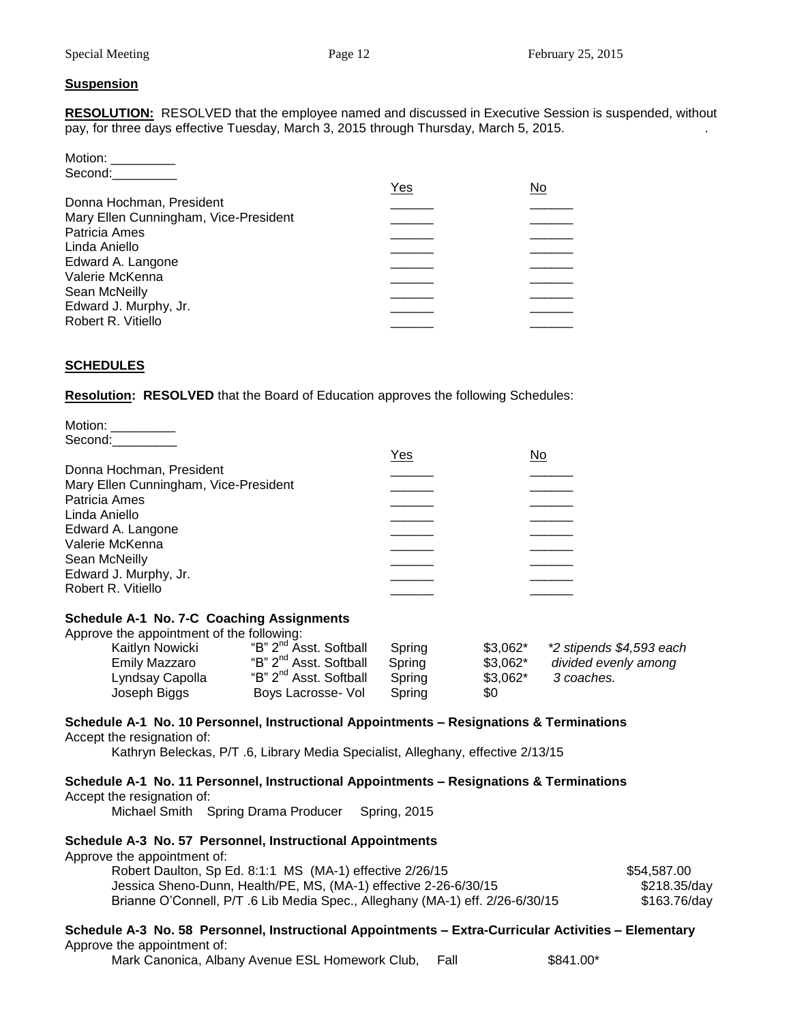## **Suspension**

**RESOLUTION:** RESOLVED that the employee named and discussed in Executive Session is suspended, without pay, for three days effective Tuesday, March 3, 2015 through Thursday, March 5, 2015.

| Motion:                               |     |    |
|---------------------------------------|-----|----|
| Second:                               |     |    |
|                                       | Yes | No |
| Donna Hochman, President              |     |    |
| Mary Ellen Cunningham, Vice-President |     |    |
| Patricia Ames                         |     |    |
| Linda Aniello                         |     |    |
| Edward A. Langone                     |     |    |
| Valerie McKenna                       |     |    |
| Sean McNeilly                         |     |    |
| Edward J. Murphy, Jr.                 |     |    |
| Robert R. Vitiello                    |     |    |
|                                       |     |    |

# **SCHEDULES**

**Resolution: RESOLVED** that the Board of Education approves the following Schedules:

| Motion: |  |
|---------|--|
| Second: |  |

|                                       | Yes | No |
|---------------------------------------|-----|----|
| Donna Hochman, President              |     |    |
| Mary Ellen Cunningham, Vice-President |     |    |
| Patricia Ames                         |     |    |
| Linda Aniello                         |     |    |
| Edward A. Langone                     |     |    |
| Valerie McKenna                       |     |    |
| Sean McNeilly                         |     |    |
| Edward J. Murphy, Jr.                 |     |    |
| Robert R. Vitiello                    |     |    |
|                                       |     |    |

## **Schedule A-1 No. 7-C Coaching Assignments**

Approve the appointment of the following:

| Kaitlyn Nowicki<br>Emily Mazzaro | "B" 2 <sup>nd</sup> Asst. Softball<br>"B" 2 <sup>nd</sup> Asst. Softball<br>"B" 2 <sup>nd</sup> Asst. Softball | Spring<br>Spring | $$3,062^*$<br>$$3,062^*$<br>$$3,062^*$ | *2 stipends \$4,593 each<br>divided evenly among |
|----------------------------------|----------------------------------------------------------------------------------------------------------------|------------------|----------------------------------------|--------------------------------------------------|
| Lyndsay Capolla<br>Joseph Biggs  | Boys Lacrosse- Vol                                                                                             | Spring<br>Spring | \$0                                    | 3 coaches.                                       |

#### **Schedule A-1 No. 10 Personnel, Instructional Appointments – Resignations & Terminations** Accept the resignation of:

Kathryn Beleckas, P/T .6, Library Media Specialist, Alleghany, effective 2/13/15

## **Schedule A-1 No. 11 Personnel, Instructional Appointments – Resignations & Terminations** Accept the resignation of:

Michael Smith Spring Drama Producer Spring, 2015

## **Schedule A-3 No. 57 Personnel, Instructional Appointments**

Approve the appointment of:

| Robert Daulton, Sp Ed. 8:1:1 MS (MA-1) effective 2/26/15                      | \$54,587.00  |
|-------------------------------------------------------------------------------|--------------|
| Jessica Sheno-Dunn, Health/PE, MS, (MA-1) effective 2-26-6/30/15              | \$218.35/day |
| Brianne O'Connell, P/T .6 Lib Media Spec., Alleghany (MA-1) eff. 2/26-6/30/15 | \$163.76/day |

## **Schedule A-3 No. 58 Personnel, Instructional Appointments – Extra-Curricular Activities – Elementary** Approve the appointment of:

Mark Canonica, Albany Avenue ESL Homework Club, Fall  $$841.00*$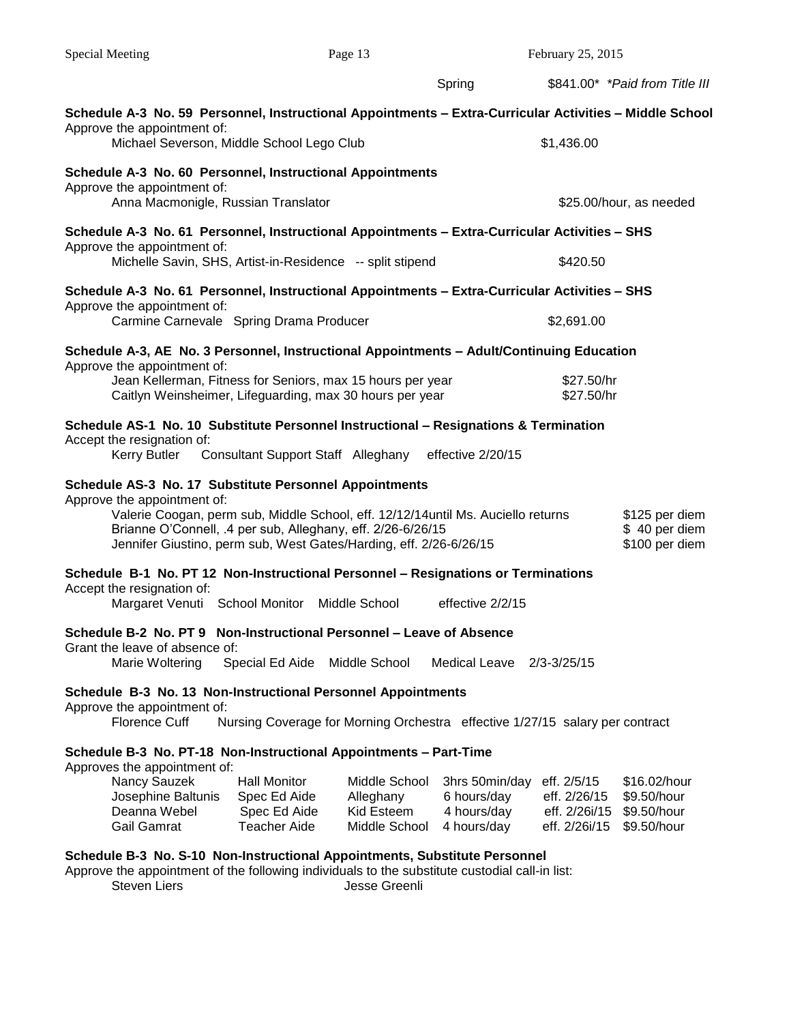| <b>Special Meeting</b>                                                                                                                                                                                                                                                                                          | Page 13                                                                      |                                                           |                                                             | February 25, 2015                                             |                                                           |  |
|-----------------------------------------------------------------------------------------------------------------------------------------------------------------------------------------------------------------------------------------------------------------------------------------------------------------|------------------------------------------------------------------------------|-----------------------------------------------------------|-------------------------------------------------------------|---------------------------------------------------------------|-----------------------------------------------------------|--|
|                                                                                                                                                                                                                                                                                                                 |                                                                              |                                                           | Spring                                                      |                                                               | \$841.00* *Paid from Title III                            |  |
| Schedule A-3 No. 59 Personnel, Instructional Appointments – Extra-Curricular Activities – Middle School<br>Approve the appointment of:<br>Michael Severson, Middle School Lego Club                                                                                                                             |                                                                              |                                                           |                                                             | \$1,436.00                                                    |                                                           |  |
| Schedule A-3 No. 60 Personnel, Instructional Appointments                                                                                                                                                                                                                                                       |                                                                              |                                                           |                                                             |                                                               |                                                           |  |
| Approve the appointment of:<br>Anna Macmonigle, Russian Translator                                                                                                                                                                                                                                              |                                                                              |                                                           |                                                             |                                                               | \$25.00/hour, as needed                                   |  |
| Schedule A-3 No. 61 Personnel, Instructional Appointments - Extra-Curricular Activities - SHS<br>Approve the appointment of:<br>Michelle Savin, SHS, Artist-in-Residence -- split stipend                                                                                                                       |                                                                              |                                                           |                                                             | \$420.50                                                      |                                                           |  |
| Schedule A-3 No. 61 Personnel, Instructional Appointments - Extra-Curricular Activities - SHS                                                                                                                                                                                                                   |                                                                              |                                                           |                                                             |                                                               |                                                           |  |
| Approve the appointment of:<br>Carmine Carnevale Spring Drama Producer                                                                                                                                                                                                                                          |                                                                              |                                                           |                                                             | \$2,691.00                                                    |                                                           |  |
| Schedule A-3, AE No. 3 Personnel, Instructional Appointments - Adult/Continuing Education<br>Approve the appointment of:                                                                                                                                                                                        |                                                                              |                                                           |                                                             |                                                               |                                                           |  |
| Jean Kellerman, Fitness for Seniors, max 15 hours per year<br>Caitlyn Weinsheimer, Lifeguarding, max 30 hours per year                                                                                                                                                                                          |                                                                              |                                                           |                                                             | \$27.50/hr<br>\$27.50/hr                                      |                                                           |  |
| Schedule AS-1 No. 10 Substitute Personnel Instructional - Resignations & Termination<br>Accept the resignation of:<br>Kerry Butler                                                                                                                                                                              | Consultant Support Staff Alleghany effective 2/20/15                         |                                                           |                                                             |                                                               |                                                           |  |
| Schedule AS-3 No. 17 Substitute Personnel Appointments<br>Approve the appointment of:<br>Valerie Coogan, perm sub, Middle School, eff. 12/12/14 until Ms. Auciello returns<br>Brianne O'Connell, .4 per sub, Alleghany, eff. 2/26-6/26/15<br>Jennifer Giustino, perm sub, West Gates/Harding, eff. 2/26-6/26/15 |                                                                              |                                                           |                                                             |                                                               | \$125 per diem<br>\$40 per diem<br>\$100 per diem         |  |
| Schedule B-1 No. PT 12 Non-Instructional Personnel - Resignations or Terminations<br>Accept the resignation of:<br>Margaret Venuti School Monitor Middle School                                                                                                                                                 |                                                                              |                                                           | effective 2/2/15                                            |                                                               |                                                           |  |
| Schedule B-2 No. PT 9 Non-Instructional Personnel - Leave of Absence<br>Grant the leave of absence of:<br>Marie Woltering                                                                                                                                                                                       | Special Ed Aide                                                              | Middle School                                             | <b>Medical Leave</b>                                        | $2/3 - 3/25/15$                                               |                                                           |  |
| Schedule B-3 No. 13 Non-Instructional Personnel Appointments<br>Approve the appointment of:<br><b>Florence Cuff</b>                                                                                                                                                                                             | Nursing Coverage for Morning Orchestra effective 1/27/15 salary per contract |                                                           |                                                             |                                                               |                                                           |  |
| Schedule B-3 No. PT-18 Non-Instructional Appointments - Part-Time<br>Approves the appointment of:<br>Nancy Sauzek<br>Josephine Baltunis<br>Deanna Webel<br><b>Gail Gamrat</b>                                                                                                                                   | <b>Hall Monitor</b><br>Spec Ed Aide<br>Spec Ed Aide<br><b>Teacher Aide</b>   | Middle School<br>Alleghany<br>Kid Esteem<br>Middle School | 3hrs 50min/day<br>6 hours/day<br>4 hours/day<br>4 hours/day | eff. 2/5/15<br>eff. 2/26/15<br>eff. 2/26i/15<br>eff. 2/26i/15 | \$16.02/hour<br>\$9.50/hour<br>\$9.50/hour<br>\$9.50/hour |  |
| Schedule B-3 No. S-10 Non-Instructional Appointments, Substitute Personnel<br>Approve the appointment of the following individuals to the substitute custodial call-in list:<br><b>Steven Liers</b>                                                                                                             |                                                                              | Jesse Greenli                                             |                                                             |                                                               |                                                           |  |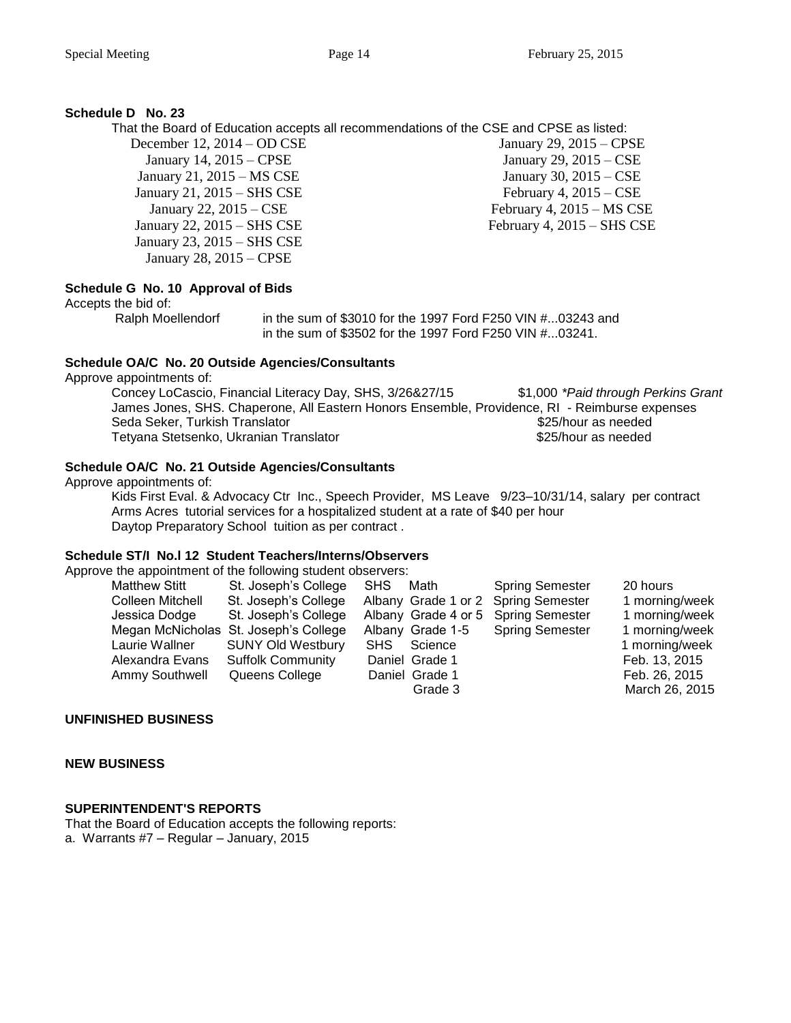# **Schedule D No. 23**

That the Board of Education accepts all recommendations of the CSE and CPSE as listed:

December 12, 2014 – OD CSE January 14, 2015 – CPSE January 21, 2015 – MS CSE January 21, 2015 – SHS CSE January 22, 2015 – CSE January 22, 2015 – SHS CSE January 23, 2015 – SHS CSE January 28, 2015 – CPSE

January 29, 2015 – CPSE January 29, 2015 – CSE January 30, 2015 – CSE February 4,  $2015 - CSE$ February 4, 2015 – MS CSE February 4, 2015 – SHS CSE

# **Schedule G No. 10 Approval of Bids**

Accepts the bid of:

Ralph Moellendorf in the sum of \$3010 for the 1997 Ford F250 VIN #...03243 and in the sum of \$3502 for the 1997 Ford F250 VIN #...03241.

# **Schedule OA/C No. 20 Outside Agencies/Consultants**

Approve appointments of:

Concey LoCascio, Financial Literacy Day, SHS, 3/26&27/15 \$1,000 *\*Paid through Perkins Grant* James Jones, SHS. Chaperone, All Eastern Honors Ensemble, Providence, RI - Reimburse expenses Seda Seker, Turkish Translator  $$25/h$ our as needed Tetyana Stetsenko, Ukranian Translator **\$25/hour as needed** 

# **Schedule OA/C No. 21 Outside Agencies/Consultants**

Approve appointments of:

Kids First Eval. & Advocacy Ctr Inc., Speech Provider, MS Leave 9/23–10/31/14, salary per contract Arms Acres tutorial services for a hospitalized student at a rate of \$40 per hour Daytop Preparatory School tuition as per contract .

#### **Schedule ST/I No.l 12 Student Teachers/Interns/Observers** Approve

| Approve the appointment of the following student observers: |                                       |                                     |                        |                |
|-------------------------------------------------------------|---------------------------------------|-------------------------------------|------------------------|----------------|
| <b>Matthew Stitt</b>                                        | St. Joseph's College                  | Math<br><b>SHS</b>                  | <b>Spring Semester</b> | 20 hours       |
| Colleen Mitchell                                            | St. Joseph's College                  | Albany Grade 1 or 2 Spring Semester |                        | 1 morning/week |
| Jessica Dodge                                               | St. Joseph's College                  | Albany Grade 4 or 5                 | <b>Spring Semester</b> | 1 morning/week |
|                                                             | Megan McNicholas St. Joseph's College | Albany Grade 1-5                    | <b>Spring Semester</b> | 1 morning/week |
| Laurie Wallner                                              | <b>SUNY Old Westbury</b>              | Science<br><b>SHS</b>               |                        | 1 morning/week |
| Alexandra Evans                                             | <b>Suffolk Community</b>              | Daniel Grade 1                      |                        | Feb. 13, 2015  |
| Ammy Southwell                                              | Queens College                        | Daniel Grade 1                      |                        | Feb. 26, 2015  |
|                                                             |                                       | Grade 3                             |                        | March 26, 2015 |

# **UNFINISHED BUSINESS**

## **NEW BUSINESS**

# **SUPERINTENDENT'S REPORTS**

That the Board of Education accepts the following reports: a. Warrants #7 – Regular – January, 2015